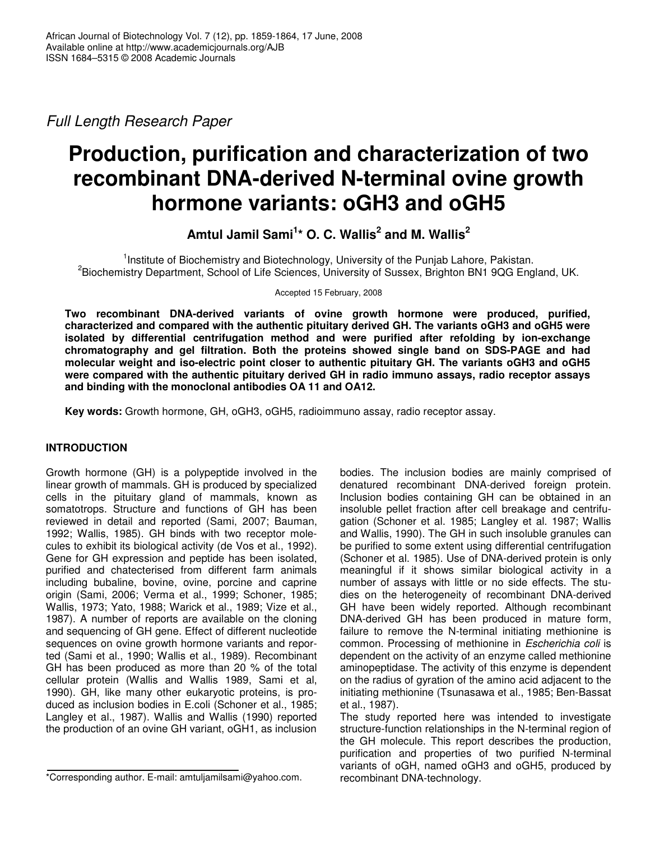*Full Length Research Paper*

# **Production, purification and characterization of two recombinant DNA-derived N-terminal ovine growth hormone variants: oGH3 and oGH5**

**Amtul Jamil Sami 1 \* O. C. Wallis 2 and M. Wallis 2**

<sup>1</sup>Institute of Biochemistry and Biotechnology, University of the Punjab Lahore, Pakistan. 2 Biochemistry Department, School of Life Sciences, University of Sussex, Brighton BN1 9QG England, UK.

Accepted 15 February, 2008

**Two recombinant DNA-derived variants of ovine growth hormone were produced, purified, characterized and compared with the authentic pituitary derived GH. The variants oGH3 and oGH5 were isolated by differential centrifugation method and were purified after refolding by ion-exchange chromatography and gel filtration. Both the proteins showed single band on SDS-PAGE and had molecular weight and iso-electric point closer to authentic pituitary GH. The variants oGH3 and oGH5 were compared with the authentic pituitary derived GH in radio immuno assays, radio receptor assays and binding with the monoclonal antibodies OA 11 and OA12.**

**Key words:** Growth hormone, GH, oGH3, oGH5, radioimmuno assay, radio receptor assay.

# **INTRODUCTION**

Growth hormone (GH) is a polypeptide involved in the linear growth of mammals. GH is produced by specialized cells in the pituitary gland of mammals, known as somatotrops. Structure and functions of GH has been reviewed in detail and reported (Sami, 2007; Bauman, 1992; Wallis, 1985). GH binds with two receptor molecules to exhibit its biological activity (de Vos et al., 1992). Gene for GH expression and peptide has been isolated, purified and chatecterised from different farm animals including bubaline, bovine, ovine, porcine and caprine origin (Sami, 2006; Verma et al., 1999; Schoner, 1985; Wallis, 1973; Yato, 1988; Warick et al., 1989; Vize et al., 1987). A number of reports are available on the cloning and sequencing of GH gene. Effect of different nucleotide sequences on ovine growth hormone variants and reported (Sami et al., 1990; Wallis et al., 1989). Recombinant GH has been produced as more than 20 % of the total cellular protein (Wallis and Wallis 1989, Sami et al, 1990). GH, like many other eukaryotic proteins, is produced as inclusion bodies in E.coli (Schoner et al., 1985; Langley et al., 1987). Wallis and Wallis (1990) reported the production of an ovine GH variant, oGH1, as inclusion

\*Corresponding author. E-mail: amtuljamilsami@yahoo.com.

bodies. The inclusion bodies are mainly comprised of denatured recombinant DNA-derived foreign protein. Inclusion bodies containing GH can be obtained in an insoluble pellet fraction after cell breakage and centrifugation (Schoner et al. 1985; Langley et al. 1987; Wallis and Wallis, 1990). The GH in such insoluble granules can be purified to some extent using differential centrifugation (Schoner et al. 1985). Use of DNA-derived protein is only meaningful if it shows similar biological activity in a number of assays with little or no side effects. The studies on the heterogeneity of recombinant DNA-derived GH have been widely reported. Although recombinant DNA-derived GH has been produced in mature form, failure to remove the N-terminal initiating methionine is common. Processing of methionine in *Escherichia coli* is dependent on the activity of an enzyme called methionine aminopeptidase. The activity of this enzyme is dependent on the radius of gyration of the amino acid adjacent to the initiating methionine (Tsunasawa et al., 1985; Ben-Bassat et al., 1987).

The study reported here was intended to investigate structure-function relationships in the N-terminal region of the GH molecule. This report describes the production, purification and properties of two purified N-terminal variants of oGH, named oGH3 and oGH5, produced by recombinant DNA-technology.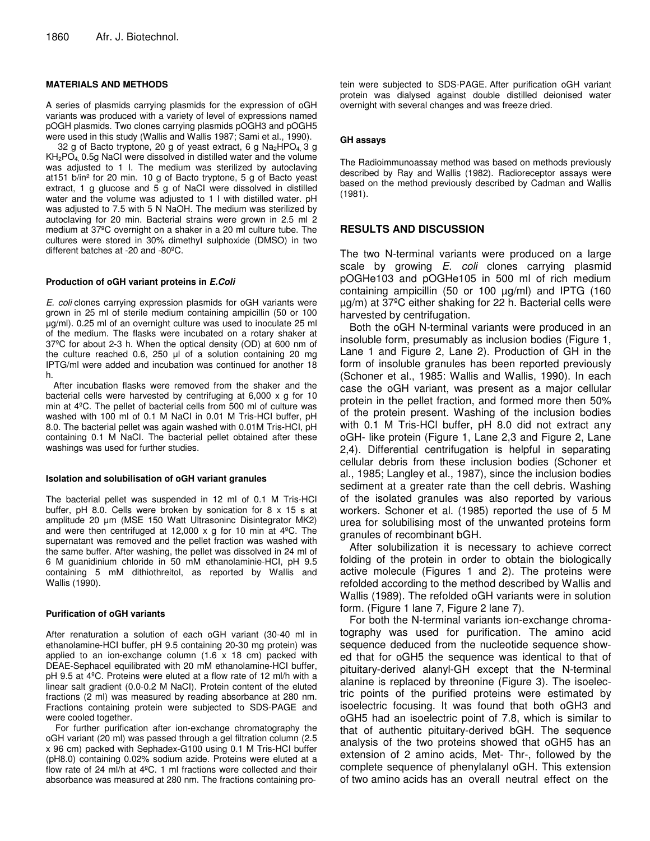# **MATERIALS AND METHODS**

A series of plasmids carrying plasmids for the expression of oGH variants was produced with a variety of level of expressions named pOGH plasmids. Two clones carrying plasmids pOGH3 and pOGH5 were used in this study (Wallis and Wallis 1987; Sami et al., 1990).

32 g of Bacto tryptone, 20 g of yeast extract, 6 g Na<sub>2</sub>HPO<sub>4</sub> 3 g KH2PO4, 0.5g NaCI were dissolved in distilled water and the volume was adjusted to 1 I. The medium was sterilized by autoclaving at151 b/in² for 20 min. 10 g of Bacto tryptone, 5 g of Bacto yeast extract, 1 g glucose and 5 g of NaCI were dissolved in distilled water and the volume was adjusted to 1 I with distilled water. pH was adjusted to 7.5 with 5 N NaOH. The medium was sterilized by autoclaving for 20 min. Bacterial strains were grown in 2.5 ml 2 medium at 37ºC overnight on a shaker in a 20 ml culture tube. The cultures were stored in 30% dimethyI sulphoxide (DMSO) in two different batches at -20 and -80ºC.

#### **Production of oGH variant proteins in** *E.Coli*

*E. coli* clones carrying expression plasmids for oGH variants were grown in 25 ml of sterile medium containing ampicillin (50 or 100 g/ml). 0.25 ml of an overnight culture was used to inoculate 25 ml of the medium. The flasks were incubated on a rotary shaker at 37ºC for about 2-3 h. When the optical density (OD) at 600 nm of the culture reached  $0.6$ , 250  $\mu$ l of a solution containing 20 mg IPTG/ml were added and incubation was continued for another 18 h.

After incubation flasks were removed from the shaker and the bacterial cells were harvested by centrifuging at 6,000 x g for 10 min at 4ºC. The pellet of bacterial cells from 500 ml of culture was washed with 100 ml of 0.1 M NaCI in 0.01 M Tris-HCI buffer, pH 8.0. The bacterial pellet was again washed with 0.01M Tris-HCI, pH containing 0.1 M NaCI. The bacterial pellet obtained after these washings was used for further studies.

#### **Isolation and solubilisation of oGH variant granules**

The bacterial pellet was suspended in 12 ml of 0.1 M Tris-HCI buffer, pH 8.0. Cells were broken by sonication for 8 x 15 s at amplitude 20 µm (MSE 150 Watt Ultrasoninc Disintegrator MK2) and were then centrifuged at 12,000 x g for 10 min at 4ºC. The supernatant was removed and the pellet fraction was washed with the same buffer. After washing, the pellet was dissolved in 24 ml of 6 M guanidinium chloride in 50 mM ethanolaminie-HCI, pH 9.5 containing 5 mM dithiothreitol, as reported by Wallis and Wallis (1990).

#### **Purification of oGH variants**

After renaturation a solution of each oGH variant (30-40 ml in ethanolamine-HCI buffer, pH 9.5 containing 20-30 mg protein) was applied to an ion-exchange column  $(1.6 \times 18 \text{ cm})$  packed with DEAE-Sephacel equilibrated with 20 mM ethanolamine-HCI buffer, pH 9.5 at 4ºC. Proteins were eluted at a flow rate of 12 ml/h with a linear salt gradient (0.0-0.2 M NaCI). Protein content of the eluted fractions (2 ml) was measured by reading absorbance at 280 nm. Fractions containing protein were subjected to SDS-PAGE and were cooled together.

For further purification after ion-exchange chromatography the oGH variant (20 ml) was passed through a gel filtration column (2.5 x 96 cm) packed with Sephadex-G100 using 0.1 M Tris-HCI buffer (pH8.0) containing 0.02% sodium azide. Proteins were eluted at a flow rate of 24 ml/h at 4ºC. 1 ml fractions were collected and their absorbance was measured at 280 nm. The fractions containing protein were subjected to SDS-PAGE. After purification oGH variant protein was dialysed against double distilled deionised water overnight with several changes and was freeze dried.

#### **GH assays**

The Radioimmunoassay method was based on methods previously described by Ray and Wallis (1982). Radioreceptor assays were based on the method previously described by Cadman and Wallis (1981).

# **RESULTS AND DISCUSSION**

The two N-terminal variants were produced on a large scale by growing *E. coli* clones carrying plasmid pOGHe103 and pOGHe105 in 500 ml of rich medium containing ampicillin (50 or 100 µg/ml) and IPTG (160 µg/m) at 37ºC either shaking for 22 h. Bacterial cells were harvested by centrifugation.

Both the oGH N-terminal variants were produced in an insoluble form, presumably as inclusion bodies (Figure 1, Lane 1 and Figure 2, Lane 2). Production of GH in the form of insoluble granules has been reported previously (Schoner et al., 1985: Wallis and Wallis, 1990). In each case the oGH variant, was present as a major cellular protein in the pellet fraction, and formed more then 50% of the protein present. Washing of the inclusion bodies with 0.1 M Tris-HCl buffer, pH 8.0 did not extract any oGH- like protein (Figure 1, Lane 2,3 and Figure 2, Lane 2,4). Differential centrifugation is helpful in separating cellular debris from these inclusion bodies (Schoner et al., 1985; Langley et al., 1987), since the inclusion bodies sediment at a greater rate than the cell debris. Washing of the isolated granules was also reported by various workers. Schoner et al. (1985) reported the use of 5 M urea for solubilising most of the unwanted proteins form granules of recombinant bGH.

After solubilization it is necessary to achieve correct folding of the protein in order to obtain the biologically active molecule (Figures 1 and 2). The proteins were refolded according to the method described by Wallis and Wallis (1989). The refolded oGH variants were in solution form. (Figure 1 lane 7, Figure 2 lane 7).

For both the N-terminal variants ion-exchange chromatography was used for purification. The amino acid sequence deduced from the nucleotide sequence showed that for oGH5 the sequence was identical to that of pituitary-derived alanyl-GH except that the N-terminal alanine is replaced by threonine (Figure 3). The isoelectric points of the purified proteins were estimated by isoelectric focusing. It was found that both oGH3 and oGH5 had an isoelectric point of 7.8, which is similar to that of authentic pituitary-derived bGH. The sequence analysis of the two proteins showed that oGH5 has an extension of 2 amino acids, Met- Thr-, followed by the complete sequence of phenylalanyl oGH. This extension of two amino acids has an overall neutral effect on the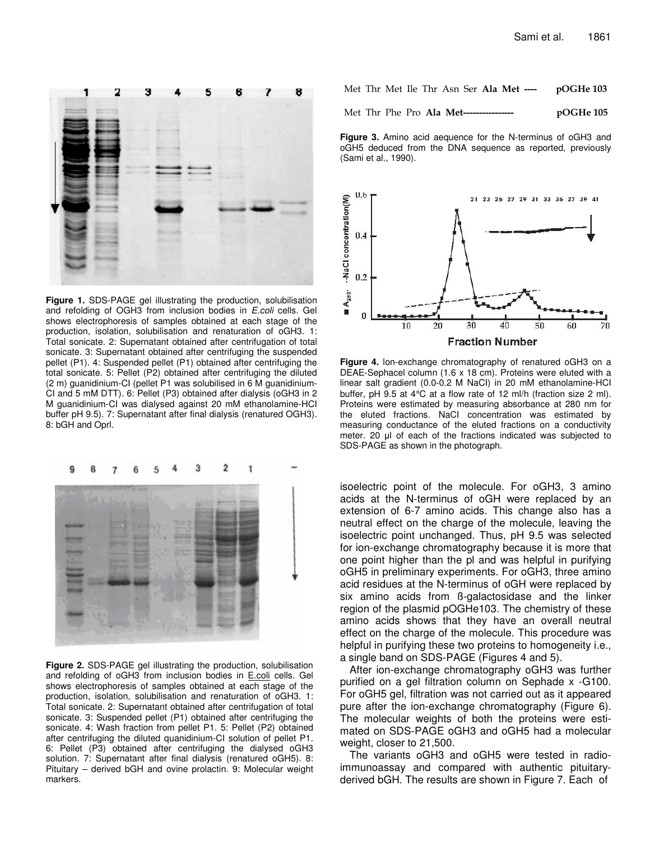

**Figure 1.** SDS-PAGE gel illustrating the production, solubilisation and refolding of OGH3 from inclusion bodies in *E.coli* cells. Gel shows electrophoresis of samples obtained at each stage of the production, isolation, solubilisation and renaturation of oGH3. 1: Total sonicate. 2: Supernatant obtained after centrifugation of total sonicate. 3: Supernatant obtained after centrifuging the suspended pellet (P1). 4: Suspended pellet (P1) obtained after centrifuging the total sonicate. 5: Pellet (P2) obtained after centrifuging the diluted (2 m) guanidinium-CI (pellet P1 was solubilised in 6 M guanidinium-CI and 5 mM DTT). 6: Pellet (P3) obtained after dialysis (oGH3 in 2 M guanidinium-CI was dialysed against 20 mM ethanolamine-HCI buffer pH 9.5). 7: Supernatant after final dialysis (renatured OGH3). 8: bGH and Oprl.



**Figure 2.** SDS-PAGE gel illustrating the production, solubilisation and refolding of oGH3 from inclusion bodies in E.coli cells. Gel shows electrophoresis of samples obtained at each stage of the production, isolation, solubilisation and renaturation of oGH3. 1: Total sonicate. 2: Supernatant obtained after centrifugation of total sonicate. 3: Suspended pellet (P1) obtained after centrifuging the sonicate. 4: Wash fraction from pellet P1. 5: Pellet (P2) obtained after centrifuging the diluted quanidinium-CI solution of pellet P1. 6: Pellet (P3) obtained after centrifuging the dialysed oGH3 solution. 7: Supernatant after final dialysis (renatured oGH5). 8: Pituitary – derived bGH and ovine prolactin. 9: Molecular weight markers.

|  |  |  |  |  |  |  |  | Met Thr Met Ile Thr Asn Ser Ala Met ---- |  | pOGHe 103 |
|--|--|--|--|--|--|--|--|------------------------------------------|--|-----------|
|--|--|--|--|--|--|--|--|------------------------------------------|--|-----------|

Met Thr Phe Pro Ala Met------------------ pO pOGHe 105

**Figure 3.** Amino acid aequence for the N-terminus of oGH3 and oGH5 deduced from the DNA sequence as reported, previously (Sami et al., 1990).



**Figure 4.** lon-exchange chromatography of renatured oGH3 on a DEAE-Sephacel column (1.6 x 18 cm). Proteins were eluted with a linear salt gradient (0.0-0.2 M NaCI) in 20 mM ethanolamine-HCI buffer, pH 9.5 at 4°C at a flow rate of 12 ml/h (fraction size 2 ml). Proteins were estimated by measuring absorbance at 280 nm for the eluted fractions. NaCI concentration was estimated by measuring conductance of the eluted fractions on a conductivity meter. 20 µl of each of the fractions indicated was subjected to SDS-PAGE as shown in the photograph.

isoelectric point of the molecule. For oGH3, 3 amino acids at the N-terminus of oGH were replaced by an extension of 6-7 amino acids. This change also has a neutral effect on the charge of the molecule, leaving the isoelectric point unchanged. Thus, pH 9.5 was selected for ion-exchange chromatography because it is more that one point higher than the pl and was helpful in purifying oGH5 in preliminary experiments. For oGH3, three amino acid residues at the N-terminus of oGH were replaced by six amino acids from ß-galactosidase and the linker region of the plasmid pOGHe103. The chemistry of these amino acids shows that they have an overall neutral effect on the charge of the molecule. This procedure was helpful in purifying these two proteins to homogeneity i.e., a single band on SDS-PAGE (Figures 4 and 5).

After ion-exchange chromatography oGH3 was further purified on a gel filtration column on Sephade x -G100. For oGH5 gel, filtration was not carried out as it appeared pure after the ion-exchange chromatography (Figure 6). The molecular weights of both the proteins were estimated on SDS-PAGE oGH3 and oGH5 had a molecular weight, closer to 21,500.

The variants oGH3 and oGH5 were tested in radioimmunoassay and compared with authentic pituitaryderived bGH. The results are shown in Figure 7. Each of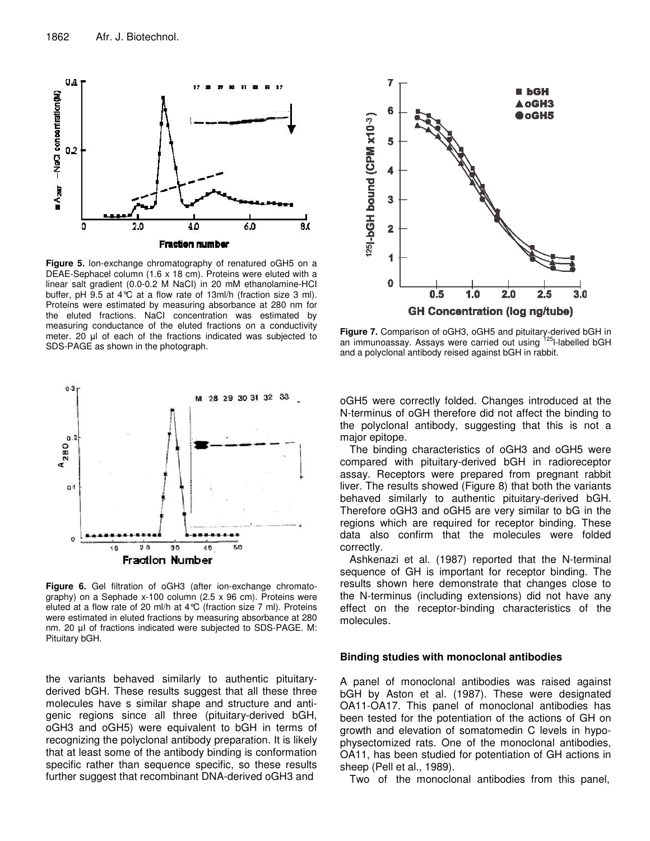

**Figure 5.** lon-exchange chromatography of renatured oGH5 on a DEAE-Sephacel column (1.6 x 18 cm). Proteins were eluted with a linear salt gradient (0.0-0.2 M NaCI) in 20 mM ethanolamine-HCI buffer, pH 9.5 at 4°C at a flow rate of 13ml/h (fraction size 3 ml). Proteins were estimated by measuring absorbance at 280 nm for the eluted fractions. NaCI concentration was estimated by measuring conductance of the eluted fractions on a conductivity meter. 20 µl of each of the fractions indicated was subjected to SDS-PAGE as shown in the photograph.



**Figure 6.** Gel filtration of oGH3 (after ion-exchange chromatography) on a Sephade x-100 column (2.5 x 96 cm). Proteins were eluted at a flow rate of 20 ml/h at 4°C (fraction size 7 ml). Proteins were estimated in eluted fractions by measuring absorbance at 280 nm. 20 µl of fractions indicated were subjected to SDS-PAGE. M: Pituitary bGH.

the variants behaved similarly to authentic pituitaryderived bGH. These results suggest that all these three molecules have s similar shape and structure and antigenic regions since all three (pituitary-derived bGH, oGH3 and oGH5) were equivalent to bGH in terms of recognizing the polyclonal antibody preparation. It is likely that at least some of the antibody binding is conformation specific rather than sequence specific, so these results further suggest that recombinant DNA-derived oGH3 and



**Figure 7.** Comparison of oGH3, oGH5 and pituitary-derived bGH in an immunoassay. Assays were carried out using <sup>125</sup>l-labelled bGH and a polyclonal antibody reised against bGH in rabbit.

oGH5 were correctly folded. Changes introduced at the N-terminus of oGH therefore did not affect the binding to the polyclonal antibody, suggesting that this is not a major epitope.

The binding characteristics of oGH3 and oGH5 were compared with pituitary-derived bGH in radioreceptor assay. Receptors were prepared from pregnant rabbit liver. The results showed (Figure 8) that both the variants behaved similarly to authentic pituitary-derived bGH. Therefore oGH3 and oGH5 are very similar to bG in the regions which are required for receptor binding. These data also confirm that the molecules were folded correctly.

Ashkenazi et al. (1987) reported that the N-terminal sequence of GH is important for receptor binding. The results shown here demonstrate that changes close to the N-terminus (including extensions) did not have any effect on the receptor-binding characteristics of the molecules.

### **Binding studies with monoclonal antibodies**

A panel of monoclonal antibodies was raised against bGH by Aston et al. (1987). These were designated OA11-OA17. This panel of monoclonal antibodies has been tested for the potentiation of the actions of GH on growth and elevation of somatomedin C levels in hypophysectomized rats. One of the monoclonal antibodies, OA11, has been studied for potentiation of GH actions in sheep (Pell et al., 1989).

Two of the monoclonal antibodies from this panel,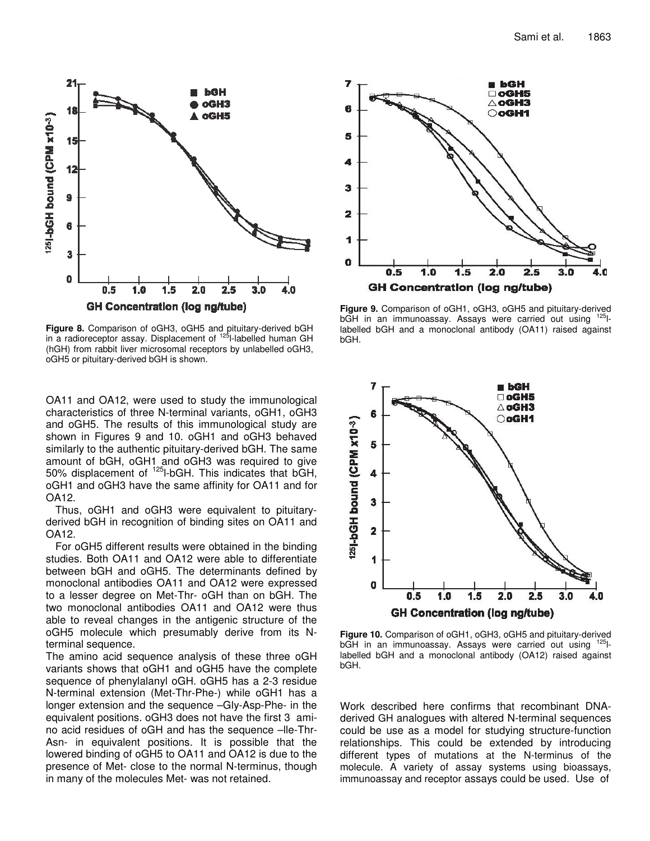

**Figure 8.** Comparison of oGH3, oGH5 and pituitary-derived bGH in a radioreceptor assay. Displacement of <sup>125</sup>I-labelled human GH (hGH) from rabbit liver microsomal receptors by unlabelled oGH3, oGH5 or pituitary-derived bGH is shown.

OA11 and OA12, were used to study the immunological characteristics of three N-terminal variants, oGH1, oGH3 and oGH5. The results of this immunological study are shown in Figures 9 and 10. oGH1 and oGH3 behaved similarly to the authentic pituitary-derived bGH. The same amount of bGH, oGH1 and oGH3 was required to give 50% displacement of <sup>125</sup>I-bGH. This indicates that bGH, oGH1 and oGH3 have the same affinity for OA11 and for OA12.

Thus, oGH1 and oGH3 were equivalent to pituitaryderived bGH in recognition of binding sites on OA11 and OA12.

For oGH5 different results were obtained in the binding studies. Both OA11 and OA12 were able to differentiate between bGH and oGH5. The determinants defined by monoclonal antibodies OA11 and OA12 were expressed to a lesser degree on Met-Thr- oGH than on bGH. The two monoclonal antibodies OA11 and OA12 were thus able to reveal changes in the antigenic structure of the oGH5 molecule which presumably derive from its Nterminal sequence.

The amino acid sequence analysis of these three oGH variants shows that oGH1 and oGH5 have the complete sequence of phenylalanyl oGH. oGH5 has a 2-3 residue N-terminal extension (Met-Thr-Phe-) while oGH1 has a longer extension and the sequence –Gly-Asp-Phe- in the equivalent positions. oGH3 does not have the first 3 amino acid residues of oGH and has the sequence –lle-Thr-Asn- in equivalent positions. It is possible that the lowered binding of oGH5 to OA11 and OA12 is due to the presence of Met- close to the normal N-terminus, though in many of the molecules Met- was not retained.



**Figure 9.** Comparison of oGH1, oGH3, oGH5 and pituitary-derived bGH in an immunoassay. Assays were carried out using 125 llabelled bGH and a monoclonal antibody (OA11) raised against bGH.



**Figure 10.** Comparison of oGH1, oGH3, oGH5 and pituitary-derived bGH in an immunoassay. Assays were carried out using <sup>125</sup>llabelled bGH and a monoclonal antibody (OA12) raised against bGH.

Work described here confirms that recombinant DNAderived GH analogues with altered N-terminal sequences could be use as a model for studying structure-function relationships. This could be extended by introducing different types of mutations at the N-terminus of the molecule. A variety of assay systems using bioassays, immunoassay and receptor assays could be used. Use of